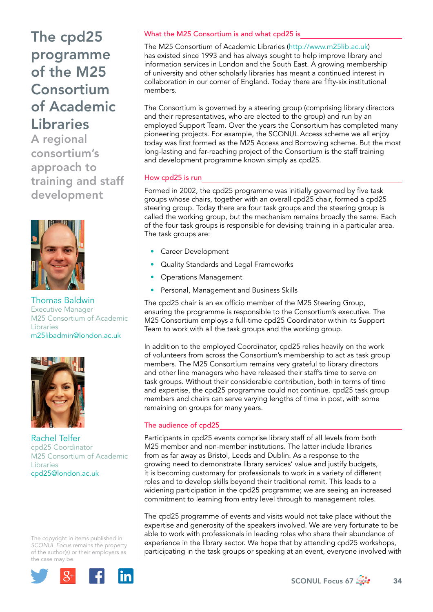# The cpd25 programme of the M25 Consortium of Academic Libraries

A regional consortium's approach to training and staff development



Thomas Baldwin Executive Manager M25 Consortium of Academic Libraries [m25libadmin@london.ac.uk](mailto:m25libadmin@london.ac.uk)



Rachel Telfer cpd25 Coordinator M25 Consortium of Academic Libraries [cpd25@london.ac.uk](mailto:cpd25@london.ac.uk)

The copyright in items published in *SCONUL Focus* remains the property of the author(s) or their employers as the case may be.



### What the M25 Consortium is and what cpd25 is

The M25 Consortium of Academic Libraries [\(http://www.m25lib.ac.uk](http://www.m25lib.ac.uk)) has existed since 1993 and has always sought to help improve library and information services in London and the South East. A growing membership of university and other scholarly libraries has meant a continued interest in collaboration in our corner of England. Today there are fifty-six institutional members.

The Consortium is governed by a steering group (comprising library directors and their representatives, who are elected to the group) and run by an employed Support Team. Over the years the Consortium has completed many pioneering projects. For example, the SCONUL Access scheme we all enjoy today was first formed as the M25 Access and Borrowing scheme. But the most long-lasting and far-reaching project of the Consortium is the staff training and development programme known simply as cpd25.

### How cpd25 is run

Formed in 2002, the cpd25 programme was initially governed by five task groups whose chairs, together with an overall cpd25 chair, formed a cpd25 steering group. Today there are four task groups and the steering group is called the working group, but the mechanism remains broadly the same. Each of the four task groups is responsible for devising training in a particular area. The task groups are:

- Career Development
- Quality Standards and Legal Frameworks
- Operations Management
- Personal, Management and Business Skills

The cpd25 chair is an ex officio member of the M25 Steering Group, ensuring the programme is responsible to the Consortium's executive. The M25 Consortium employs a full-time cpd25 Coordinator within its Support Team to work with all the task groups and the working group.

In addition to the employed Coordinator, cpd25 relies heavily on the work of volunteers from across the Consortium's membership to act as task group members. The M25 Consortium remains very grateful to library directors and other line managers who have released their staff's time to serve on task groups. Without their considerable contribution, both in terms of time and expertise, the cpd25 programme could not continue. cpd25 task group members and chairs can serve varying lengths of time in post, with some remaining on groups for many years.

### The audience of cpd25

Participants in cpd25 events comprise library staff of all levels from both M25 member and non-member institutions. The latter include libraries from as far away as Bristol, Leeds and Dublin. As a response to the growing need to demonstrate library services' value and justify budgets, it is becoming customary for professionals to work in a variety of different roles and to develop skills beyond their traditional remit. This leads to a widening participation in the cpd25 programme; we are seeing an increased commitment to learning from entry level through to management roles.

The cpd25 programme of events and visits would not take place without the expertise and generosity of the speakers involved. We are very fortunate to be able to work with professionals in leading roles who share their abundance of experience in the library sector. We hope that by attending cpd25 workshops, participating in the task groups or speaking at an event, everyone involved with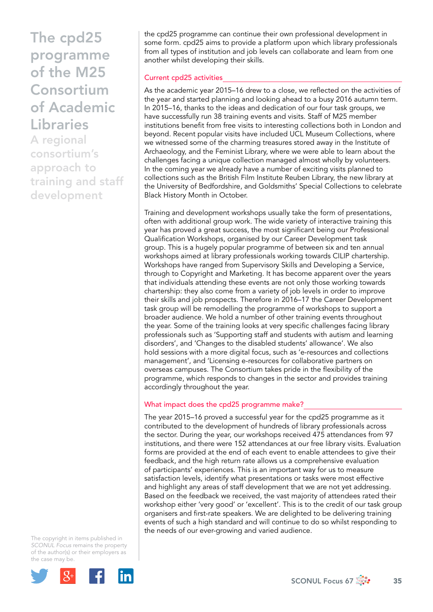# The cpd25 programme of the M25 Consortium of Academic Libraries

A regional consortium's approach to training and staff development

the cpd25 programme can continue their own professional development in some form. cpd25 aims to provide a platform upon which library professionals from all types of institution and job levels can collaborate and learn from one another whilst developing their skills.

#### Current cpd25 activities

As the academic year 2015–16 drew to a close, we reflected on the activities of the year and started planning and looking ahead to a busy 2016 autumn term. In 2015–16, thanks to the ideas and dedication of our four task groups, we have successfully run 38 training events and visits. Staff of M25 member institutions benefit from free visits to interesting collections both in London and beyond. Recent popular visits have included UCL Museum Collections, where we witnessed some of the charming treasures stored away in the Institute of Archaeology, and the Feminist Library, where we were able to learn about the challenges facing a unique collection managed almost wholly by volunteers. In the coming year we already have a number of exciting visits planned to collections such as the British Film Institute Reuben Library, the new library at the University of Bedfordshire, and Goldsmiths' Special Collections to celebrate Black History Month in October.

Training and development workshops usually take the form of presentations, often with additional group work. The wide variety of interactive training this year has proved a great success, the most significant being our Professional Qualification Workshops, organised by our Career Development task group. This is a hugely popular programme of between six and ten annual workshops aimed at library professionals working towards CILIP chartership. Workshops have ranged from Supervisory Skills and Developing a Service, through to Copyright and Marketing. It has become apparent over the years that individuals attending these events are not only those working towards chartership: they also come from a variety of job levels in order to improve their skills and job prospects. Therefore in 2016–17 the Career Development task group will be remodelling the programme of workshops to support a broader audience. We hold a number of other training events throughout the year. Some of the training looks at very specific challenges facing library professionals such as 'Supporting staff and students with autism and learning disorders', and 'Changes to the disabled students' allowance'. We also hold sessions with a more digital focus, such as 'e-resources and collections management', and 'Licensing e-resources for collaborative partners on overseas campuses. The Consortium takes pride in the flexibility of the programme, which responds to changes in the sector and provides training accordingly throughout the year.

### What impact does the cpd25 programme make?

The year 2015–16 proved a successful year for the cpd25 programme as it contributed to the development of hundreds of library professionals across the sector. During the year, our workshops received 475 attendances from 97 institutions, and there were 152 attendances at our free library visits. Evaluation forms are provided at the end of each event to enable attendees to give their feedback, and the high return rate allows us a comprehensive evaluation of participants' experiences. This is an important way for us to measure satisfaction levels, identify what presentations or tasks were most effective and highlight any areas of staff development that we are not yet addressing. Based on the feedback we received, the vast majority of attendees rated their workshop either 'very good' or 'excellent'. This is to the credit of our task group organisers and first-rate speakers. We are delighted to be delivering training events of such a high standard and will continue to do so whilst responding to the needs of our ever-growing and varied audience.

The copyright in items published in *SCONUL Focus* remains the property of the author(s) or their employers as the case may be.